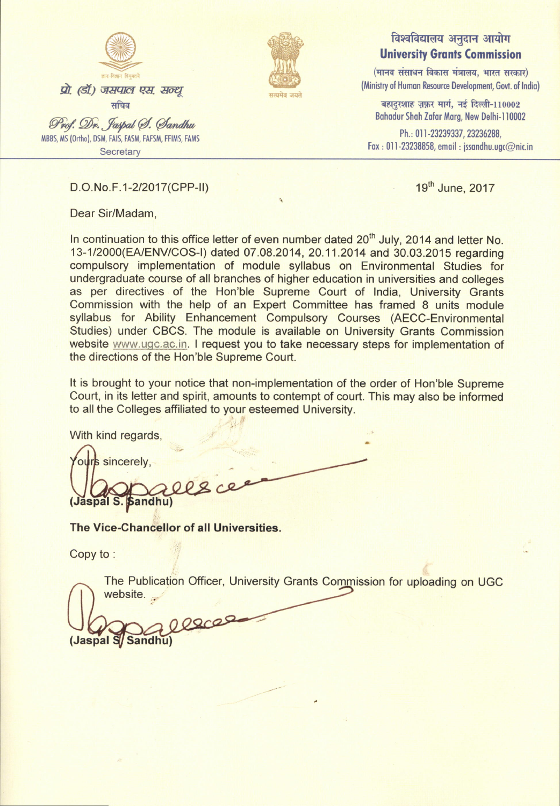



## विश्वविद्यालय अनुदान आयोग **University Grants Commission**

 $($ मानव संसाधन विकास मंत्रालय, भारत सरकार) (Ministry of Human Resource Development, Govt. of India)

बहादुरशाह ज़फ़र मार्ग, नई दिल्ली-110002 Bahadur Shah Zafar Marg, New Delhi-110002

Ph.: 011-23239337, 23236288, Fox , 0]1-23238858, emoil : issondhu.ugc@nic.in

D.O.No.F.1-2/2017 (CPP-II) 19th June, 2017

Dear Sir/Madam,

In continuation to this office letter of even number dated 20<sup>th</sup> July, 2014 and letter No. 13-1I2000(EA/ENViCOS-|) dated 07 .08.2014, 20.11.2014 and 30.03.2015 regarding compulsory implementation of module syllabus on Environmental Studies for undergraduate course of all branches of higher education in universities and colleges as per directives of the Hon'ble Supreme Court of India, University Grants Commission with the help of an Expert Committee has framed 8 units module syllabus for Ability Enhancement Compulsory Courses [\(AECC-Environmental](https://www.ugc.ac.in/pdfnews/6980464_AECC_Envt.-Studies_UGC.pdf) [Studies\) under CBCS.](https://www.ugc.ac.in/pdfnews/6980464_AECC_Envt.-Studies_UGC.pdf) The module is available on University Grants Commission website [www.ugc.ac.in.](#page-1-0) I request you to take necessary steps for implementation of the directions of the Hon'ble Supreme Court.

It is brought to your notice that non-implementation of the order of Hon'ble Supreme Court, in its letter and spirit, amounts to contempt of court. This may also be informed to all the Colleges affiliated to your esteemed University.

With kind regards,

rs sincerely, **Sandhu**)

The Vice-Ghancellor of all Universities.

Copy to :

The Publication Officer, University Grants Commission for uploading on UGC website. ..

000000 (Jaspal S/Sandhu)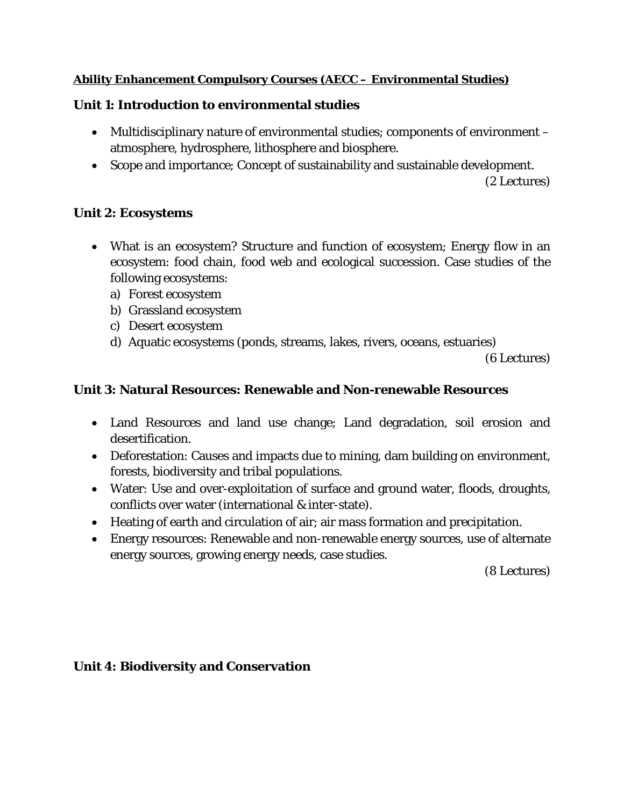## <span id="page-1-0"></span>**Ability Enhancement Compulsory Courses (AECC – Environmental Studies)**

# **Unit 1: Introduction to environmental studies**

- Multidisciplinary nature of environmental studies; components of environment atmosphere, hydrosphere, lithosphere and biosphere.
- Scope and importance; Concept of sustainability and sustainable development. (2 Lectures)

# **Unit 2: Ecosystems**

- What is an ecosystem? Structure and function of ecosystem; Energy flow in an ecosystem: food chain, food web and ecological succession. Case studies of the following ecosystems:
	- a) Forest ecosystem
	- b) Grassland ecosystem
	- c) Desert ecosystem
	- d) Aquatic ecosystems (ponds, streams, lakes, rivers, oceans, estuaries)

(6 Lectures)

# **Unit 3: Natural Resources: Renewable and Non-renewable Resources**

- Land Resources and land use change; Land degradation, soil erosion and desertification.
- Deforestation: Causes and impacts due to mining, dam building on environment, forests, biodiversity and tribal populations.
- Water: Use and over-exploitation of surface and ground water, floods, droughts, conflicts over water (international & inter-state).
- Heating of earth and circulation of air; air mass formation and precipitation.
- Energy resources: Renewable and non-renewable energy sources, use of alternate energy sources, growing energy needs, case studies.

(8 Lectures)

### **Unit 4: Biodiversity and Conservation**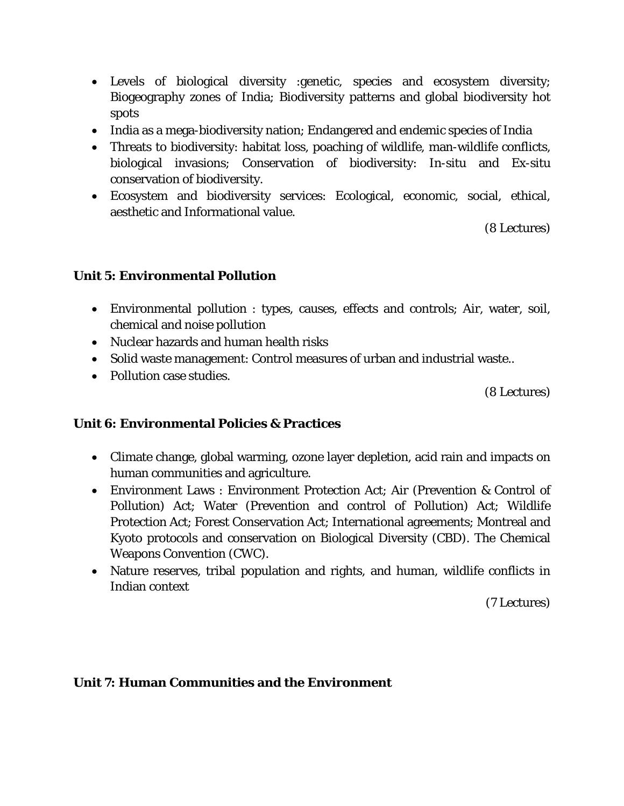- Levels of biological diversity :genetic, species and ecosystem diversity; Biogeography zones of India; Biodiversity patterns and global biodiversity hot spots
- India as a mega-biodiversity nation; Endangered and endemic species of India
- Threats to biodiversity: habitat loss, poaching of wildlife, man-wildlife conflicts, biological invasions; Conservation of biodiversity: In-situ and Ex-situ conservation of biodiversity.
- Ecosystem and biodiversity services: Ecological, economic, social, ethical, aesthetic and Informational value.

(8 Lectures)

### **Unit 5: Environmental Pollution**

- Environmental pollution : types, causes, effects and controls; Air, water, soil, chemical and noise pollution
- Nuclear hazards and human health risks
- Solid waste management: Control measures of urban and industrial waste..
- Pollution case studies.

(8 Lectures)

### **Unit 6: Environmental Policies & Practices**

- Climate change, global warming, ozone layer depletion, acid rain and impacts on human communities and agriculture.
- Environment Laws : Environment Protection Act; Air (Prevention & Control of Pollution) Act; Water (Prevention and control of Pollution) Act; Wildlife Protection Act; Forest Conservation Act; International agreements; Montreal and Kyoto protocols and conservation on Biological Diversity (CBD). The Chemical Weapons Convention (CWC).
- Nature reserves, tribal population and rights, and human, wildlife conflicts in Indian context

(7 Lectures)

#### **Unit 7: Human Communities and the Environment**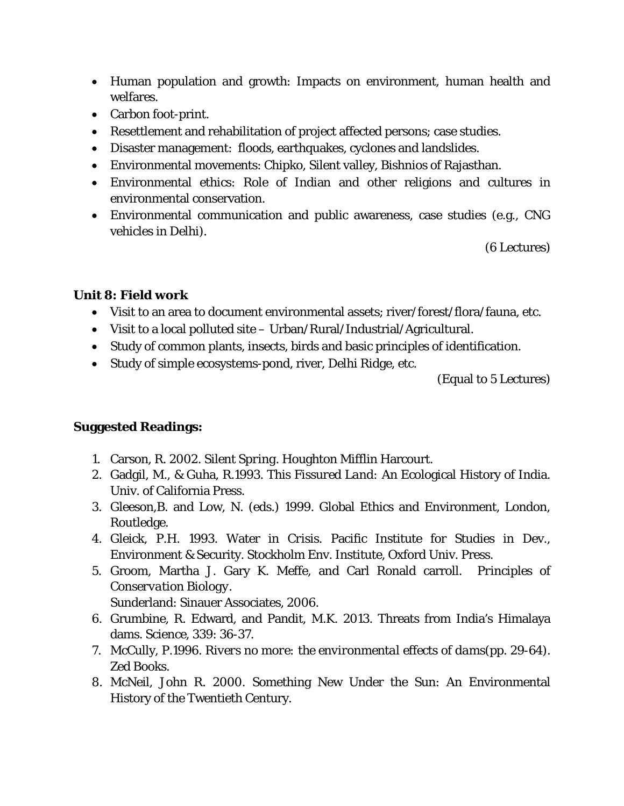- Human population and growth: Impacts on environment, human health and welfares.
- Carbon foot-print.
- Resettlement and rehabilitation of project affected persons; case studies.
- Disaster management: floods, earthquakes, cyclones and landslides.
- Environmental movements: Chipko, Silent valley, Bishnios of Rajasthan.
- Environmental ethics: Role of Indian and other religions and cultures in environmental conservation.
- Environmental communication and public awareness, case studies (e.g., CNG vehicles in Delhi).

(6 Lectures)

# **Unit 8: Field work**

- Visit to an area to document environmental assets; river/forest/flora/fauna, etc.
- Visit to a local polluted site Urban/Rural/Industrial/Agricultural.
- Study of common plants, insects, birds and basic principles of identification.
- Study of simple ecosystems-pond, river, Delhi Ridge, etc.

(Equal to 5 Lectures)

### **Suggested Readings:**

- 1. Carson, R. *2002. Silent Spring.* Houghton Mifflin Harcourt.
- 2. Gadgil, M., & Guha, R.1993. This *Fissured Land:* An Ecological History of India. Univ. of California Press.
- 3. Gleeson,B. and Low, N. (eds.) 1999. Global Ethics and Environment, London, Routledge.
- 4. Gleick, P.H. 1993. Water in *Crisis*. Pacific Institute for Studies in Dev., Environment & Security. Stockholm Env. Institute, Oxford Univ. Press.
- 5. Groom, Martha J. Gary K. Meffe, and Carl Ronald carroll. *Principles of Conservation Biology.* Sunderland: Sinauer Associates, 2006.
- 6. Grumbine, R. Edward, and Pandit, M.K. 2013. Threats from India's Himalaya dams. Science, 339: 36-37.
- 7. McCully, P.1996. *Rivers no more: the environmental effects of dams*(pp. 29-64). Zed Books.
- 8. McNeil, John R. 2000. Something New Under the Sun: An Environmental History of the Twentieth Century.